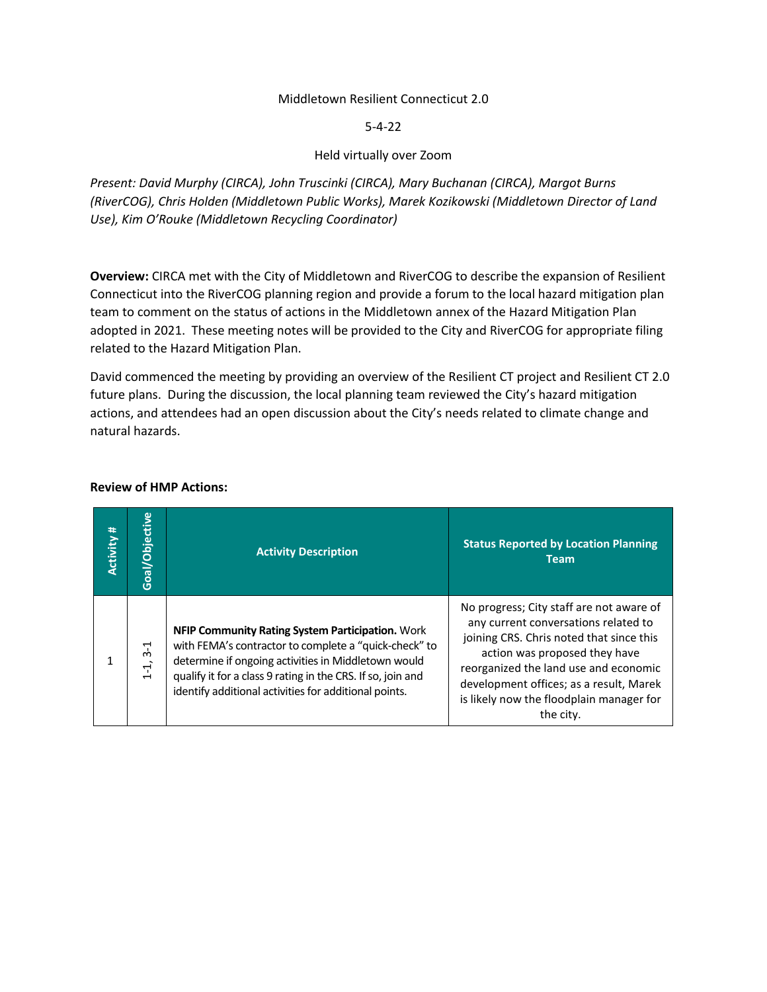#### Middletown Resilient Connecticut 2.0

5-4-22

### Held virtually over Zoom

*Present: David Murphy (CIRCA), John Truscinki (CIRCA), Mary Buchanan (CIRCA), Margot Burns (RiverCOG), Chris Holden (Middletown Public Works), Marek Kozikowski (Middletown Director of Land Use), Kim O'Rouke (Middletown Recycling Coordinator)*

**Overview:** CIRCA met with the City of Middletown and RiverCOG to describe the expansion of Resilient Connecticut into the RiverCOG planning region and provide a forum to the local hazard mitigation plan team to comment on the status of actions in the Middletown annex of the Hazard Mitigation Plan adopted in 2021. These meeting notes will be provided to the City and RiverCOG for appropriate filing related to the Hazard Mitigation Plan.

David commenced the meeting by providing an overview of the Resilient CT project and Resilient CT 2.0 future plans. During the discussion, the local planning team reviewed the City's hazard mitigation actions, and attendees had an open discussion about the City's needs related to climate change and natural hazards.

| Activity # | Goal/Objective                                  | <b>Activity Description</b>                                                                                                                                                                                                                                                              | <b>Status Reported by Location Planning</b><br><b>Team</b>                                                                                                                                                                                                                                                 |
|------------|-------------------------------------------------|------------------------------------------------------------------------------------------------------------------------------------------------------------------------------------------------------------------------------------------------------------------------------------------|------------------------------------------------------------------------------------------------------------------------------------------------------------------------------------------------------------------------------------------------------------------------------------------------------------|
|            | ٢<br>ო<br>$\vec{r}$<br>$\blacksquare$<br>$\div$ | NFIP Community Rating System Participation. Work<br>with FEMA's contractor to complete a "quick-check" to<br>determine if ongoing activities in Middletown would<br>qualify it for a class 9 rating in the CRS. If so, join and<br>identify additional activities for additional points. | No progress; City staff are not aware of<br>any current conversations related to<br>joining CRS. Chris noted that since this<br>action was proposed they have<br>reorganized the land use and economic<br>development offices; as a result, Marek<br>is likely now the floodplain manager for<br>the city. |

#### **Review of HMP Actions:**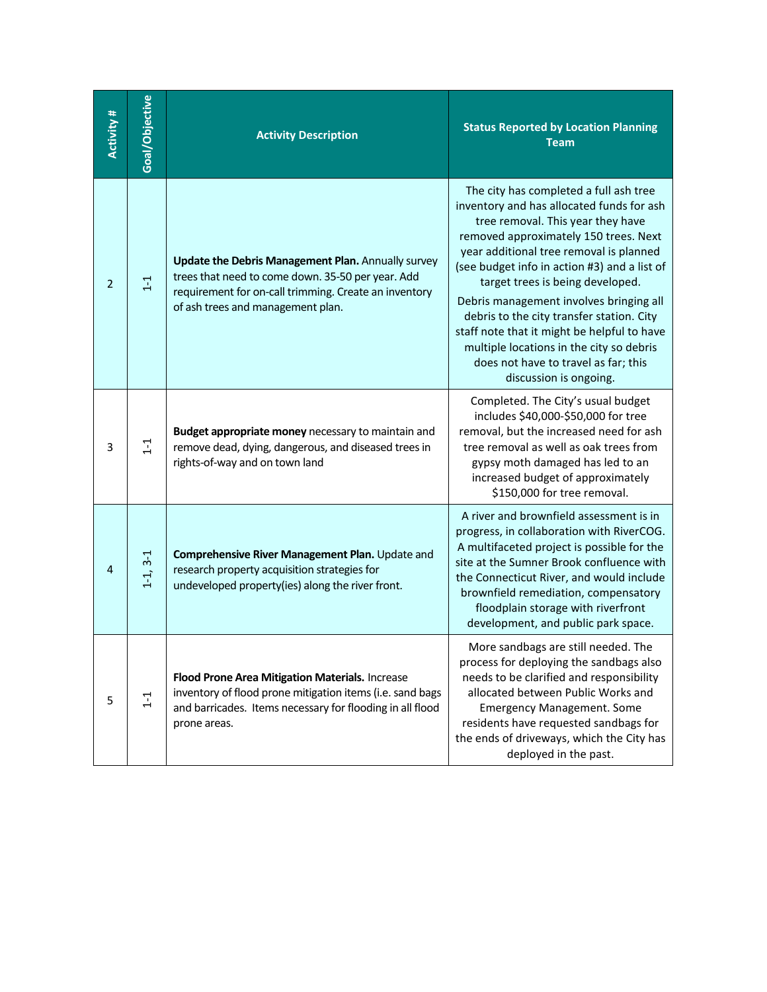| Activity # | Goal/Objective | <b>Activity Description</b>                                                                                                                                                                           | <b>Status Reported by Location Planning</b><br><b>Team</b>                                                                                                                                                                                                                                                                                                                                                                                                                                                                                            |
|------------|----------------|-------------------------------------------------------------------------------------------------------------------------------------------------------------------------------------------------------|-------------------------------------------------------------------------------------------------------------------------------------------------------------------------------------------------------------------------------------------------------------------------------------------------------------------------------------------------------------------------------------------------------------------------------------------------------------------------------------------------------------------------------------------------------|
| 2          | $\Xi$          | Update the Debris Management Plan. Annually survey<br>trees that need to come down. 35-50 per year. Add<br>requirement for on-call trimming. Create an inventory<br>of ash trees and management plan. | The city has completed a full ash tree<br>inventory and has allocated funds for ash<br>tree removal. This year they have<br>removed approximately 150 trees. Next<br>year additional tree removal is planned<br>(see budget info in action #3) and a list of<br>target trees is being developed.<br>Debris management involves bringing all<br>debris to the city transfer station. City<br>staff note that it might be helpful to have<br>multiple locations in the city so debris<br>does not have to travel as far; this<br>discussion is ongoing. |
| 3          | $\overline{1}$ | Budget appropriate money necessary to maintain and<br>remove dead, dying, dangerous, and diseased trees in<br>rights-of-way and on town land                                                          | Completed. The City's usual budget<br>includes \$40,000-\$50,000 for tree<br>removal, but the increased need for ash<br>tree removal as well as oak trees from<br>gypsy moth damaged has led to an<br>increased budget of approximately<br>\$150,000 for tree removal.                                                                                                                                                                                                                                                                                |
| 4          | $1-1, 3-1$     | Comprehensive River Management Plan. Update and<br>research property acquisition strategies for<br>undeveloped property(ies) along the river front.                                                   | A river and brownfield assessment is in<br>progress, in collaboration with RiverCOG.<br>A multifaceted project is possible for the<br>site at the Sumner Brook confluence with<br>the Connecticut River, and would include<br>brownfield remediation, compensatory<br>floodplain storage with riverfront<br>development, and public park space.                                                                                                                                                                                                       |
| 5          | $1 - 1$        | Flood Prone Area Mitigation Materials. Increase<br>inventory of flood prone mitigation items (i.e. sand bags<br>and barricades. Items necessary for flooding in all flood<br>prone areas.             | More sandbags are still needed. The<br>process for deploying the sandbags also<br>needs to be clarified and responsibility<br>allocated between Public Works and<br><b>Emergency Management. Some</b><br>residents have requested sandbags for<br>the ends of driveways, which the City has<br>deployed in the past.                                                                                                                                                                                                                                  |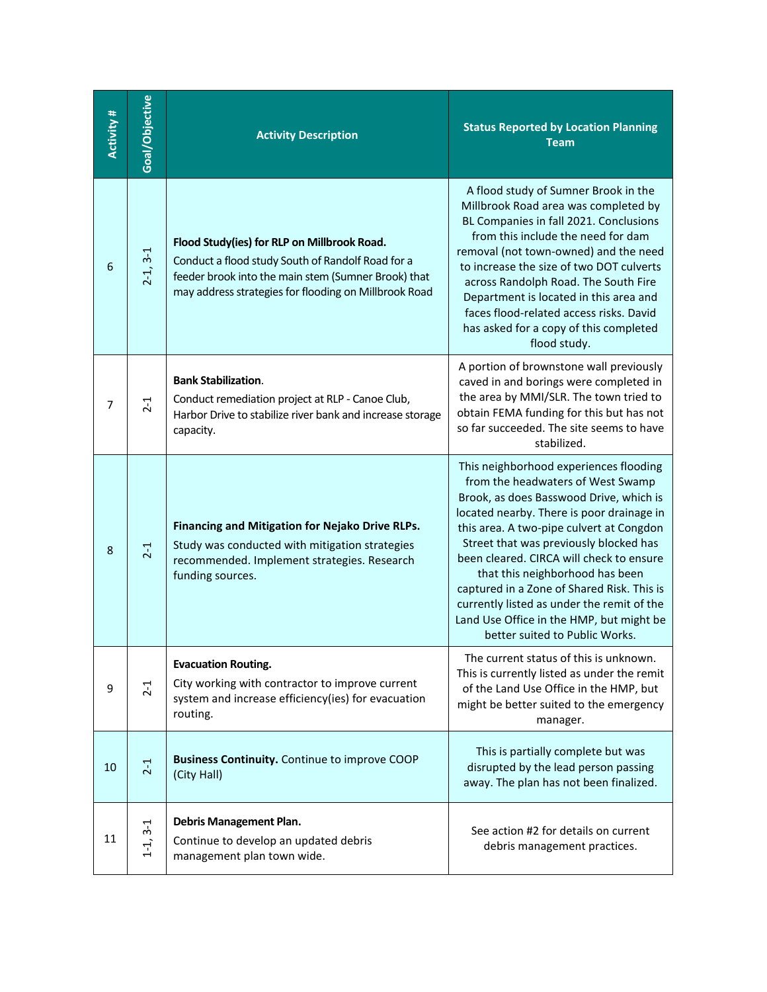| Activity # | Goal/Objective | <b>Activity Description</b>                                                                                                                                                                                      | <b>Status Reported by Location Planning</b><br><b>Team</b>                                                                                                                                                                                                                                                                                                                                                                                                                                                         |
|------------|----------------|------------------------------------------------------------------------------------------------------------------------------------------------------------------------------------------------------------------|--------------------------------------------------------------------------------------------------------------------------------------------------------------------------------------------------------------------------------------------------------------------------------------------------------------------------------------------------------------------------------------------------------------------------------------------------------------------------------------------------------------------|
| 6          | $2 - 1, 3 - 1$ | Flood Study(ies) for RLP on Millbrook Road.<br>Conduct a flood study South of Randolf Road for a<br>feeder brook into the main stem (Sumner Brook) that<br>may address strategies for flooding on Millbrook Road | A flood study of Sumner Brook in the<br>Millbrook Road area was completed by<br>BL Companies in fall 2021. Conclusions<br>from this include the need for dam<br>removal (not town-owned) and the need<br>to increase the size of two DOT culverts<br>across Randolph Road. The South Fire<br>Department is located in this area and<br>faces flood-related access risks. David<br>has asked for a copy of this completed<br>flood study.                                                                           |
| 7          | $2-1$          | <b>Bank Stabilization.</b><br>Conduct remediation project at RLP - Canoe Club,<br>Harbor Drive to stabilize river bank and increase storage<br>capacity.                                                         | A portion of brownstone wall previously<br>caved in and borings were completed in<br>the area by MMI/SLR. The town tried to<br>obtain FEMA funding for this but has not<br>so far succeeded. The site seems to have<br>stabilized.                                                                                                                                                                                                                                                                                 |
| 8          | $2-1$          | Financing and Mitigation for Nejako Drive RLPs.<br>Study was conducted with mitigation strategies<br>recommended. Implement strategies. Research<br>funding sources.                                             | This neighborhood experiences flooding<br>from the headwaters of West Swamp<br>Brook, as does Basswood Drive, which is<br>located nearby. There is poor drainage in<br>this area. A two-pipe culvert at Congdon<br>Street that was previously blocked has<br>been cleared. CIRCA will check to ensure<br>that this neighborhood has been<br>captured in a Zone of Shared Risk. This is<br>currently listed as under the remit of the<br>Land Use Office in the HMP, but might be<br>better suited to Public Works. |
| 9          | $2 - 1$        | <b>Evacuation Routing.</b><br>City working with contractor to improve current<br>system and increase efficiency(ies) for evacuation<br>routing.                                                                  | The current status of this is unknown.<br>This is currently listed as under the remit<br>of the Land Use Office in the HMP, but<br>might be better suited to the emergency<br>manager.                                                                                                                                                                                                                                                                                                                             |
| 10         | $2-1$          | <b>Business Continuity.</b> Continue to improve COOP<br>(City Hall)                                                                                                                                              | This is partially complete but was<br>disrupted by the lead person passing<br>away. The plan has not been finalized.                                                                                                                                                                                                                                                                                                                                                                                               |
| 11         | $1-1, 3-1$     | <b>Debris Management Plan.</b><br>Continue to develop an updated debris<br>management plan town wide.                                                                                                            | See action #2 for details on current<br>debris management practices.                                                                                                                                                                                                                                                                                                                                                                                                                                               |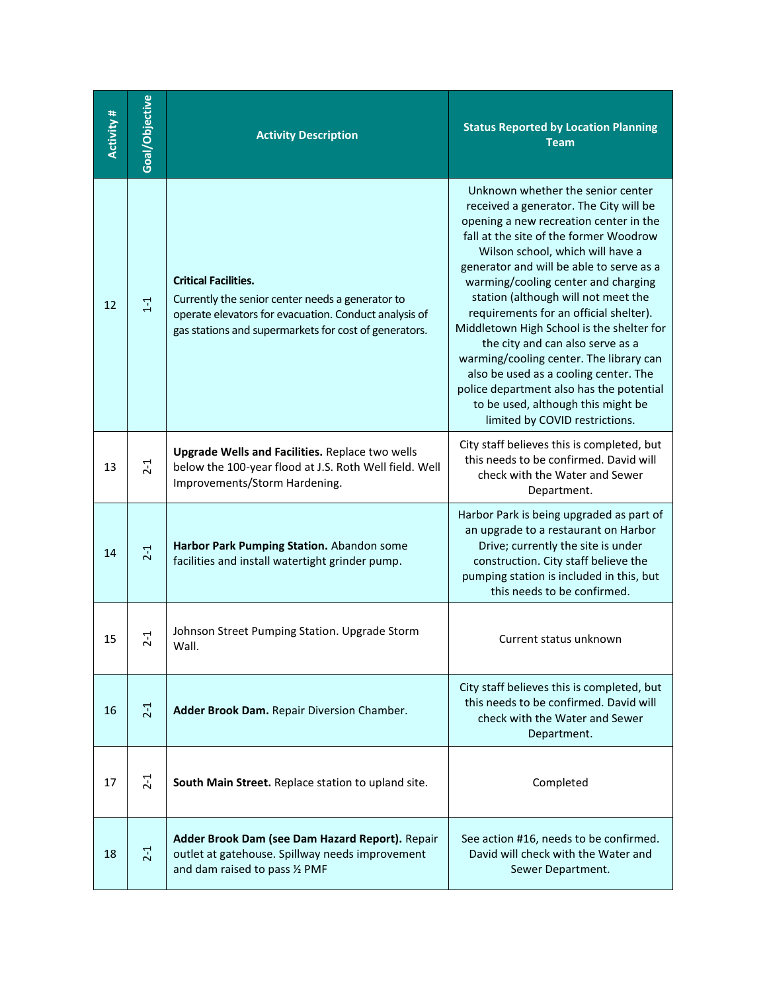| <b>Activity #</b> | Goal/Objective | <b>Activity Description</b>                                                                                                                                                                       | <b>Status Reported by Location Planning</b><br><b>Team</b>                                                                                                                                                                                                                                                                                                                                                                                                                                                                                                                                                                                                       |
|-------------------|----------------|---------------------------------------------------------------------------------------------------------------------------------------------------------------------------------------------------|------------------------------------------------------------------------------------------------------------------------------------------------------------------------------------------------------------------------------------------------------------------------------------------------------------------------------------------------------------------------------------------------------------------------------------------------------------------------------------------------------------------------------------------------------------------------------------------------------------------------------------------------------------------|
| 12                | $1 - 1$        | <b>Critical Facilities.</b><br>Currently the senior center needs a generator to<br>operate elevators for evacuation. Conduct analysis of<br>gas stations and supermarkets for cost of generators. | Unknown whether the senior center<br>received a generator. The City will be<br>opening a new recreation center in the<br>fall at the site of the former Woodrow<br>Wilson school, which will have a<br>generator and will be able to serve as a<br>warming/cooling center and charging<br>station (although will not meet the<br>requirements for an official shelter).<br>Middletown High School is the shelter for<br>the city and can also serve as a<br>warming/cooling center. The library can<br>also be used as a cooling center. The<br>police department also has the potential<br>to be used, although this might be<br>limited by COVID restrictions. |
| 13                | $2 - 1$        | <b>Upgrade Wells and Facilities. Replace two wells</b><br>below the 100-year flood at J.S. Roth Well field. Well<br>Improvements/Storm Hardening.                                                 | City staff believes this is completed, but<br>this needs to be confirmed. David will<br>check with the Water and Sewer<br>Department.                                                                                                                                                                                                                                                                                                                                                                                                                                                                                                                            |
| 14                | $2 - 1$        | Harbor Park Pumping Station. Abandon some<br>facilities and install watertight grinder pump.                                                                                                      | Harbor Park is being upgraded as part of<br>an upgrade to a restaurant on Harbor<br>Drive; currently the site is under<br>construction. City staff believe the<br>pumping station is included in this, but<br>this needs to be confirmed.                                                                                                                                                                                                                                                                                                                                                                                                                        |
| 15                | $2 - 1$        | Johnson Street Pumping Station. Upgrade Storm<br>Wall.                                                                                                                                            | Current status unknown                                                                                                                                                                                                                                                                                                                                                                                                                                                                                                                                                                                                                                           |
| 16                | $2 - 1$        | Adder Brook Dam. Repair Diversion Chamber.                                                                                                                                                        | City staff believes this is completed, but<br>this needs to be confirmed. David will<br>check with the Water and Sewer<br>Department.                                                                                                                                                                                                                                                                                                                                                                                                                                                                                                                            |
| 17                | $2 - 1$        | South Main Street. Replace station to upland site.                                                                                                                                                | Completed                                                                                                                                                                                                                                                                                                                                                                                                                                                                                                                                                                                                                                                        |
| 18                | $2-1$          | Adder Brook Dam (see Dam Hazard Report). Repair<br>outlet at gatehouse. Spillway needs improvement<br>and dam raised to pass 1/2 PMF                                                              | See action #16, needs to be confirmed.<br>David will check with the Water and<br>Sewer Department.                                                                                                                                                                                                                                                                                                                                                                                                                                                                                                                                                               |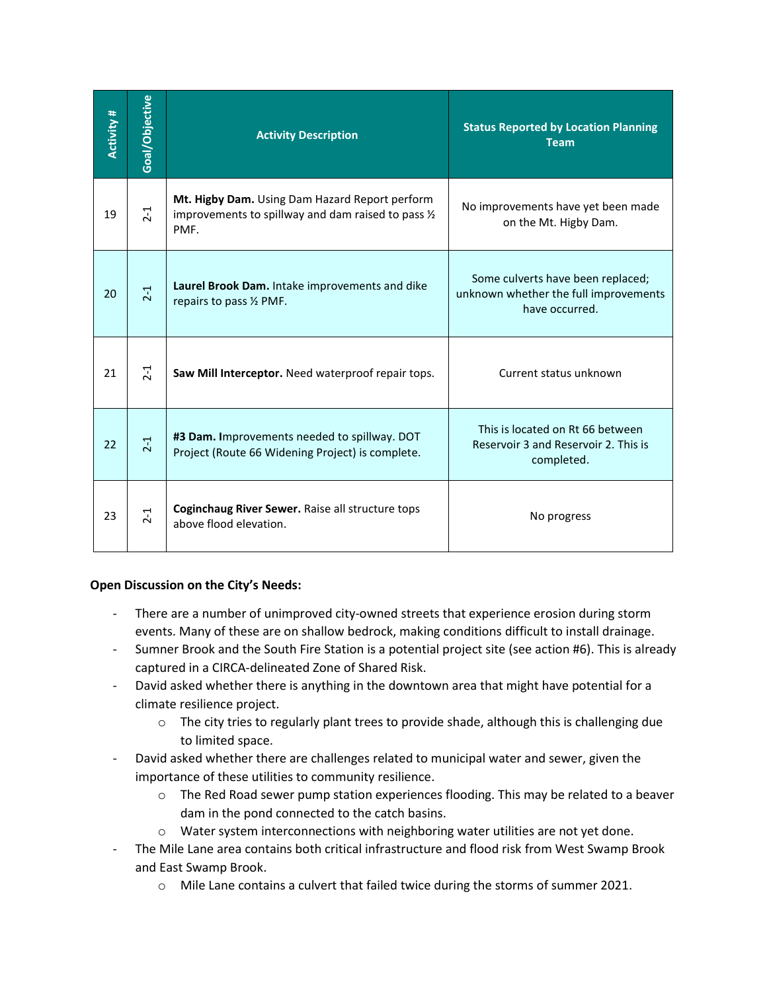| Activity # | Goal/Objective | <b>Activity Description</b>                                                                                   | <b>Status Reported by Location Planning</b><br><b>Team</b>                                   |
|------------|----------------|---------------------------------------------------------------------------------------------------------------|----------------------------------------------------------------------------------------------|
| 19         | $2 - 1$        | Mt. Higby Dam. Using Dam Hazard Report perform<br>improvements to spillway and dam raised to pass 1/2<br>PMF. | No improvements have yet been made<br>on the Mt. Higby Dam.                                  |
| 20         | $2-1$          | Laurel Brook Dam. Intake improvements and dike<br>repairs to pass 1/2 PMF.                                    | Some culverts have been replaced;<br>unknown whether the full improvements<br>have occurred. |
| 21         | $2 - 1$        | Saw Mill Interceptor. Need waterproof repair tops.                                                            | Current status unknown                                                                       |
| 22         | $2-1$          | #3 Dam. Improvements needed to spillway. DOT<br>Project (Route 66 Widening Project) is complete.              | This is located on Rt 66 between<br>Reservoir 3 and Reservoir 2. This is<br>completed.       |
| 23         | $2-1$          | Coginchaug River Sewer. Raise all structure tops<br>above flood elevation.                                    | No progress                                                                                  |

# **Open Discussion on the City's Needs:**

- There are a number of unimproved city-owned streets that experience erosion during storm events. Many of these are on shallow bedrock, making conditions difficult to install drainage.
- Sumner Brook and the South Fire Station is a potential project site (see action #6). This is already captured in a CIRCA-delineated Zone of Shared Risk.
- David asked whether there is anything in the downtown area that might have potential for a climate resilience project.
	- $\circ$  The city tries to regularly plant trees to provide shade, although this is challenging due to limited space.
- David asked whether there are challenges related to municipal water and sewer, given the importance of these utilities to community resilience.
	- $\circ$  The Red Road sewer pump station experiences flooding. This may be related to a beaver dam in the pond connected to the catch basins.
	- $\circ$  Water system interconnections with neighboring water utilities are not yet done.
- The Mile Lane area contains both critical infrastructure and flood risk from West Swamp Brook and East Swamp Brook.
	- $\circ$  Mile Lane contains a culvert that failed twice during the storms of summer 2021.